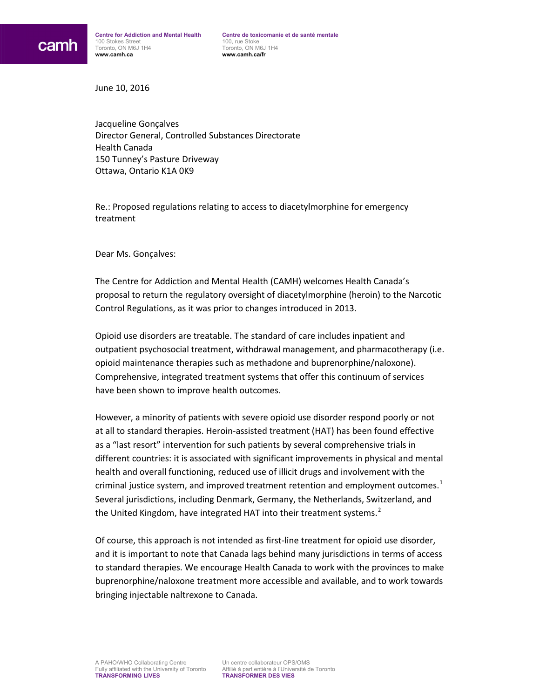June 10, 2016

Jacqueline Gonçalves Director General, Controlled Substances Directorate Health Canada 150 Tunney's Pasture Driveway Ottawa, Ontario K1A 0K9

Re.: Proposed regulations relating to access to diacetylmorphine for emergency treatment

Dear Ms. Gonçalves:

The Centre for Addiction and Mental Health (CAMH) welcomes Health Canada's proposal to return the regulatory oversight of diacetylmorphine (heroin) to the Narcotic Control Regulations, as it was prior to changes introduced in 2013.

Opioid use disorders are treatable. The standard of care includes inpatient and outpatient psychosocial treatment, withdrawal management, and pharmacotherapy (i.e. opioid maintenance therapies such as methadone and buprenorphine/naloxone). Comprehensive, integrated treatment systems that offer this continuum of services have been shown to improve health outcomes.

However, a minority of patients with severe opioid use disorder respond poorly or not at all to standard therapies. Heroin-assisted treatment (HAT) has been found effective as a "last resort" intervention for such patients by several comprehensive trials in different countries: it is associated with significant improvements in physical and mental health and overall functioning, reduced use of illicit drugs and involvement with the criminal justice system, and improved treatment retention and employment outcomes. $1$ Several jurisdictions, including Denmark, Germany, the Netherlands, Switzerland, and the United Kingdom, have integrated HAT into their treatment systems.<sup>[2](#page-1-1)</sup>

Of course, this approach is not intended as first-line treatment for opioid use disorder, and it is important to note that Canada lags behind many jurisdictions in terms of access to standard therapies. We encourage Health Canada to work with the provinces to make buprenorphine/naloxone treatment more accessible and available, and to work towards bringing injectable naltrexone to Canada.